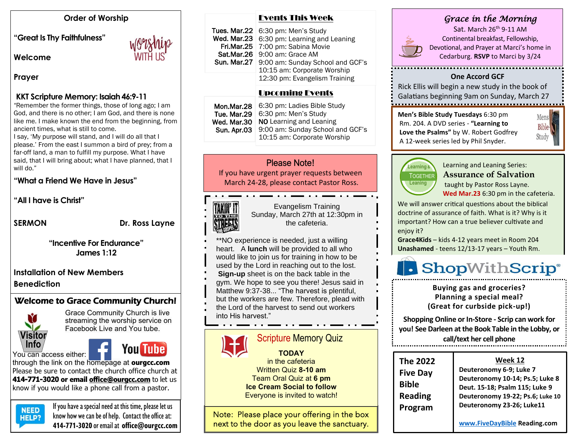#### **Order of Worship**

**"Great Is Thy Faithfulness"** 

**Welcome** 

#### **Prayer**

#### **KKT Scripture Memory: Isaiah 46:9-11**

"Remember the former things, those of long ago; I am God, and there is no other; I am God, and there is none like me. I make known the end from the beginning, from ancient times, what is still to come.

I say, 'My purpose will stand, and I will do all that I please.' From the east I summon a bird of prey; from a far-off land, a man to fulfill my purpose. What I have said, that I will bring about; what I have planned, that I will do."

#### **"What a Friend We Have in Jesus"**

**"All I have is Christ"**

**SERMON** Dr. Ross Layne

**"Incentive For Endurance" James 1:12**

**Installation of New Members Benediction**

#### Welcome to Grace Community Church!



Grace Community Church is live streaming the worship service on Facebook Live and You tube.

# **You Tube**

through the link on the homepage at **ourgcc.com**  Please be sure to contact the church office church at **414-771-3020 or email [office@ourgcc.com](mailto:office@ourgcc.com)** to let us know if you would like a phone call from a pastor.



**NEED** If you have a special need at this time, please let us  $H = P2$  know how we can be of help. Contact the office at: **414-771-3020** or email at **[office@ourgcc.com](mailto:office@ourgcc.com)**

| <b>Events This Week</b> |  |
|-------------------------|--|
|                         |  |

| Tues. Mar.22 $\vert$ 6:30 pm: Men's Study    |
|----------------------------------------------|
| Wed. Mar.23   6:30 pm: Learning and Leaning  |
| Fri.Mar.25   7:00 pm: Sabina Movie           |
| Sat.Mar.26 9:00 am: Grace AM                 |
| Sun. Mar.27 9:00 am: Sunday School and GCF's |
| 10:15 am: Corporate Worship                  |
| 12:30 pm: Evangelism Training                |
|                                              |

#### Upcoming Events

|  | Tue. Mar.29<br>Wed. Mar.30<br>Sun. Apr.03 | Mon.Mar.28   6:30 pm: Ladies Bible Study<br>6:30 pm: Men's Study<br>NO Learning and Leaning<br>9:00 am: Sunday School and GCF's<br>10:15 am: Corporate Worship |
|--|-------------------------------------------|----------------------------------------------------------------------------------------------------------------------------------------------------------------|
|--|-------------------------------------------|----------------------------------------------------------------------------------------------------------------------------------------------------------------|

#### Please Note!

If you have urgent prayer requests between March 24-28, please contact Pastor Ross.

## TAKIN' IT TO THE

Evangelism Training Sunday, March 27th at 12:30pm in the cafeteria.

\*\*NO experience is needed, just a willing heart. A **lunch** will be provided to all who would like to join us for training in how to be

- used by the Lord in reaching out to the lost.
- **Sign-up** sheet is on the back table in the
- gym. We hope to see you there! Jesus said in Matthew 9:37-38... "The harvest is plentiful, but the workers are few. Therefore, plead with
- the Lord of the harvest to send out workers into His harvest."

## Scripture Memory Quiz

**TODAY** in the cafeteria Written Quiz **8-10 am**  Team Oral Quiz at **6 pm Ice Cream Social to follow** Everyone is invited to watch!

Note: Please place your offering in the box next to the door as you leave the sanctuary.

#### *Grace in the Morning*



Sat. March 26<sup>th</sup> 9-11 AM Continental breakfast, Fellowship, Devotional, and Prayer at Marci's home in Cedarburg. **RSVP** to Marci by 3/24

#### **One Accord GCF**

Rick Ellis will begin a new study in the book of Galatians beginning 9am on Sunday, March 27

**Men's Bible Study Tuesdays** 6:30 pm Rm. 204. A DVD series - **"Learning to Love the Psalms"** by W. Robert Godfrey A 12-week series led by Phil Snyder.



Learning and Leaning Series: **Assurance of Salvation**

taught by Pastor Ross Layne. **Wed Mar.23** 6:30 pm in the cafeteria.

Mens **Bible** Study

We will answer critical questions about the biblical doctrine of assurance of faith. What is it? Why is it important? How can a true believer cultivate and enjoy it?

**Grace4Kids** – kids 4-12 years meet in Room 204 **Unashamed** - teens 12/13-17 years – Youth Rm.

# • ShopWithScrip®

**Buying gas and groceries? Planning a special meal? (Great for curbside pick-up!)**

**Shopping Online or In-Store - Scrip can work for you! See Darleen at the Book Table in the Lobby, or call/text her cell phone**

| The 2022<br><b>Five Day</b><br><b>Bible</b><br><b>Reading</b><br>Program | Week 12<br>Deuteronomy 6-9; Luke 7<br>Deuteronomy 10-14; Ps.5; Luke 8<br>Deut. 15-18; Psalm 115; Luke 9<br>Deuteronomy 19-22; Ps.6; Luke 10<br>Deuteronomy 23-26; Luke11 |
|--------------------------------------------------------------------------|--------------------------------------------------------------------------------------------------------------------------------------------------------------------------|
|                                                                          | www.FiveDayBible Reading.com                                                                                                                                             |

**call/text her cell phone**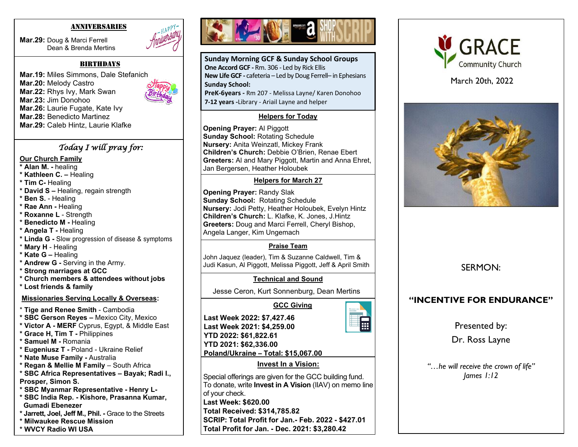#### ANNIVERSARIES

**Mar.29:** Doug & Marci Ferrell Dean & Brenda Mertins



**Mar.19:** Miles Simmons, Dale Stefanich **Mar.20:** Melody Castro **Mar.22:** Rhys Ivy, Mark Swan **Mar.23:** Jim Donohoo **Mar.26:** Laurie Fugate, Kate Ivy **Mar.28:** Benedicto Martinez **Mar.29:** Caleb Hintz, Laurie Klafke

#### *Today I will pray for:*

#### **Our Church Family**

- **\* Alan M. -** healing
- **\* Kathleen C. –** Healing
- **\* Tim C-** Healing
- **\* David S –** Healing, regain strength
- **\* Ben S.** Healing
- **\* Rae Ann -** Healing
- **\* Roxanne L**  Strength
- **\* Benedicto M -** Healing
- **\* Angela T -** Healing
- **\* Linda G -** Slow progression of disease & symptoms
- \* **Mary H**  Healing
- **\* Kate G –** Healing
- **\* Andrew G -** Serving in the Army.
- **\* Strong marriages at GCC**
- **\* Church members & attendees without jobs**
- **\* Lost friends & family**

#### **Missionaries Serving Locally & Overseas:**

- \* **Tige and Renee Smith** Cambodia
- **\* SBC Gerson Reyes –** Mexico City, Mexico
- **\* Victor A - MERF** Cyprus, Egypt, & Middle East
- **\* Grace H, Tim T -** Philippines
- **\* Samuel M -** Romania
- **\* Eugeniusz T -** Poland Ukraine Relief
- **\* Nate Muse Family -** Australia
- **\* Regan & Mellie M Family**  South Africa
- **\* SBC Africa Representatives – Bayak; Radi I.,**
- **Prosper, Simon S.**
- **\* SBC Myanmar Representative - Henry L-**
- **\* SBC India Rep. - Kishore, Prasanna Kumar, Gumadi Ebenezer**
- **\* Jarrett, Joel, Jeff M., Phil. -** Grace to the Streets
- **\* Milwaukee Rescue Mission**
- **\* WVCY Radio WI USA**



**Sunday Morning GCF & Sunday School Groups One Accord GCF -** Rm. 306 - Led by Rick Ellis **New Life GCF -** cafeteria – Led by Doug Ferrell– in Ephesians **Sunday School:**

**PreK-6years -** Rm 207 - Melissa Layne/ Karen Donohoo **7-12 years -**Library - Ariail Layne and helper

#### **Helpers for Today**

**Opening Prayer:** Al Piggott **Sunday School:** Rotating Schedule **Nursery:** Anita Weinzatl, Mickey Frank **Children's Church:** Debbie O'Brien, Renae Ebert **Greeters:** Al and Mary Piggott, Martin and Anna Ehret, Jan Bergersen, Heather Holoubek

#### **Helpers for March 27**

 **Greeters:** Doug and Marci Ferrell, Cheryl Bishop, **Opening Prayer:** Randy Slak **Sunday School:** Rotating Schedule **Nursery:** Jodi Petty, Heather Holoubek, Evelyn Hintz **Children's Church:** L. Klafke, K. Jones, J.Hintz Angela Langer, Kim Ungemach

#### **Praise Team**

John Jaquez (leader), Tim & Suzanne Caldwell, Tim & Judi Kasun, Al Piggott, Melissa Piggott, Jeff & April Smith

#### **Technical and Sound**

Jesse Ceron, Kurt Sonnenburg, Dean Mertins

 **GCC Giving**



**Last Week 2022: \$7,427.46 Last Week 2021: \$4,259.00 YTD 2022: \$61,822.61 YTD 2021: \$62,336.00 Poland/Ukraine – Total: \$15,067.00**

#### **Invest In a Vision:**

Special offerings are given for the GCC building fund. To donate, write **Invest in A Vision** (IIAV) on memo line of your check. **Last Week: \$620.00 Total Received: \$314,785.82 SCRIP: Total Profit for Jan.- Feb. 2022 - \$427.01 Total Profit for Jan. - Dec. 2021: \$3,280.42**



March 20th, 2022



SERMON:

## **"INCENTIVE FOR ENDURANCE"**

Presented by:

Dr. Ross Layne

*"…he will receive the crown of life" James 1:12*